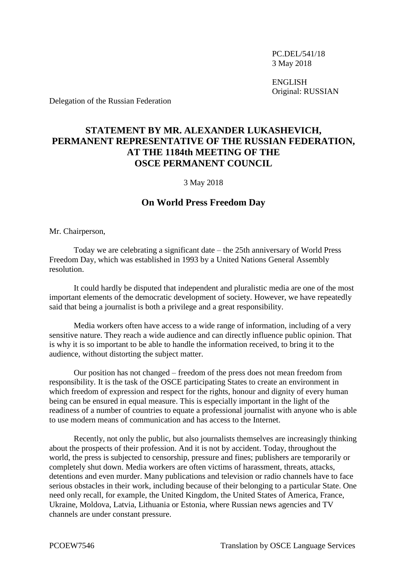PC.DEL/541/18 3 May 2018

ENGLISH Original: RUSSIAN

Delegation of the Russian Federation

## **STATEMENT BY MR. ALEXANDER LUKASHEVICH, PERMANENT REPRESENTATIVE OF THE RUSSIAN FEDERATION, AT THE 1184th MEETING OF THE OSCE PERMANENT COUNCIL**

3 May 2018

## **On World Press Freedom Day**

Mr. Chairperson,

Today we are celebrating a significant date – the 25th anniversary of World Press Freedom Day, which was established in 1993 by a United Nations General Assembly resolution.

It could hardly be disputed that independent and pluralistic media are one of the most important elements of the democratic development of society. However, we have repeatedly said that being a journalist is both a privilege and a great responsibility.

Media workers often have access to a wide range of information, including of a very sensitive nature. They reach a wide audience and can directly influence public opinion. That is why it is so important to be able to handle the information received, to bring it to the audience, without distorting the subject matter.

Our position has not changed – freedom of the press does not mean freedom from responsibility. It is the task of the OSCE participating States to create an environment in which freedom of expression and respect for the rights, honour and dignity of every human being can be ensured in equal measure. This is especially important in the light of the readiness of a number of countries to equate a professional journalist with anyone who is able to use modern means of communication and has access to the Internet.

Recently, not only the public, but also journalists themselves are increasingly thinking about the prospects of their profession. And it is not by accident. Today, throughout the world, the press is subjected to censorship, pressure and fines; publishers are temporarily or completely shut down. Media workers are often victims of harassment, threats, attacks, detentions and even murder. Many publications and television or radio channels have to face serious obstacles in their work, including because of their belonging to a particular State. One need only recall, for example, the United Kingdom, the United States of America, France, Ukraine, Moldova, Latvia, Lithuania or Estonia, where Russian news agencies and TV channels are under constant pressure.